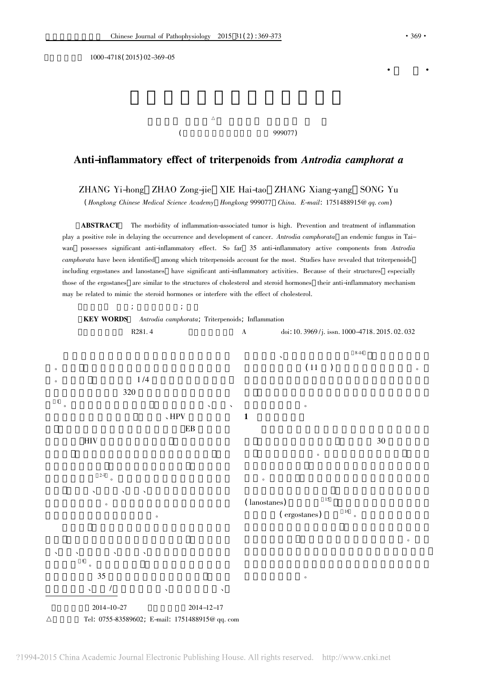编号 1000-4718( 2015) 02-369-05

 $\Delta$ (  $999077$ )

## Anti-inflammatory effect of triterpenoids from Antrodia camphorat a

ZHANG Yi-hong ZHAO Zong-jie XIE Hai-tao ZHANG Xiang-yang SONG Yu

( Hongkong Chinese Medical Science Academy Hongkong 999077 China. E-mail: 1751488915@ qq. com)

ABSTRACT The morbidity of inflammation-associated tumor is high. Prevention and treatment of inflammation play a positive role in delaying the occurrence and development of cancer. Antrodia camphorata an endemic fungus in Taiwan possesses significant anti-inflammatory effect. So far 35 anti-inflammatory active components from Antrodia camphorata have been identified among which triterpenoids account for the most. Studies have revealed that triterpenoids including ergostanes and lanostanes have significant anti-inflammatory activities. Because of their structures especially those of the ergostanes are similar to the structures of cholesterol and steroid hormones their anti-inflammatory mechanism may be related to mimic the steroid hormones or interfere with the effect of cholesterol.



?1994-2015 China Academic Journal Electronic Publishing House. All rights reserved. http://www.cnki.net

·综 述·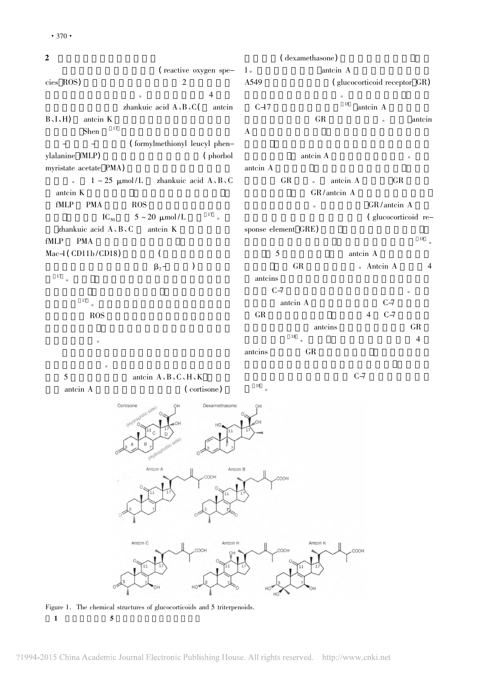$2$ (reactive oxygen species ROS) 2  $\sim$  4 zhankuic acid  $A \, B \, C$ ( antcin  $B \setminus I \setminus H$  antcin K<br>Shapel <sup>17</sup>  $\mathop{\mathrm{Shen}}\nolimits$   $\qquad \qquad ^{17}$ - (formylmethionyl leucyl phenylalanine fMLP) (phorbol myristate acetate PMA)  $\sim 1 \sim 25 \mu \text{mol/L}$  zhankuic acid A、B、C antcin K fMLP PMA ROS IC<sub>50</sub> 5 ~ 20 μmol/L <sup>17</sup> zhankuic acid  $A \, , B \, , C$  antcin K fMLP PMA  $Mac-1 (CD11b/CD18)$  (  $\beta_2$ - )  $17$  $\bullet$  $\frac{17}{\circ}$ ROS **ROS** 在的抗炎药物。 (dexamethasone) 1 antcin A A549 (glucocorticoid receptor GR)  $\overline{\phantom{a}}$ C-17  $^{18}$  antcin A GR only antein  $\bf{A}$ antcin A antcin A 细胞质的 GR 结合。 antcin A 结合后 GR 与热休 GR/antcin A  $GR / \text{antein A}$ (glucocorticoid response element GRE)  $\frac{18}{18}$  $\frac{18}{3}$ 5 antcin A GR 6 Antcin A 4 antcins states of the contract of the contract of the contract of the contract of the contract of the contract of the contract of the contract of the contract of the contract of the contract of the contract of the contract  $C\rightarrow$ antcin A  $C-7$ GR  $4 \quad 4 \quad 6-7$ antcins GR  $18$  。 4 antcins GR

 $5$  antcin  $A, B, C, H, K$ 

 $\bullet$ 

antcin A (cortisone)

18

 $C\rightarrow$ 

Cortiso Dexamethason Antcin Antcin B Antcin C Antcin H HOO2

Figure 1. The chemical structures of glucocorticoids and 5 triterpenoids.  $1 \quad 5 \quad$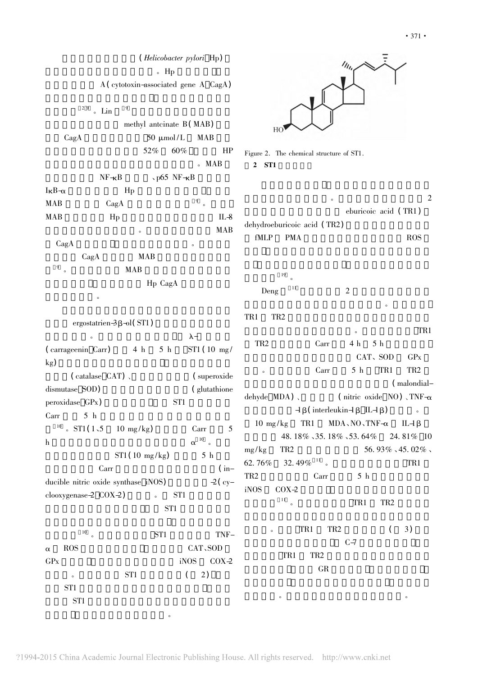|                                                                                  |                    | $\circ$ Hp                   | ( <i>Helicobacter pylori</i> Hp)     |                                     |
|----------------------------------------------------------------------------------|--------------------|------------------------------|--------------------------------------|-------------------------------------|
|                                                                                  |                    |                              | A (cytotoxin-associated gene A CagA) |                                     |
| 29                                                                               | $\delta$ Lin       | 9                            |                                      |                                     |
| methyl anteinate B (MAB)                                                         |                    |                              |                                      |                                     |
| CagA                                                                             |                    | 50 $\mu$ mol/L<br><b>MAB</b> |                                      | HC                                  |
|                                                                                  |                    | 52%                          | 60%<br>HP                            | Figure 2. The cl                    |
|                                                                                  |                    |                              | 。MAB                                 | $\boldsymbol{2}$<br>ST <sub>1</sub> |
|                                                                                  | $NF\neg\neg\neg B$ | $\cdot$ p65 NF- $\kappa$ B   |                                      |                                     |
| $I_{\kappa}B_{\alpha}$                                                           |                    | Hp                           |                                      |                                     |
| <b>MAB</b>                                                                       | CagA               |                              | 9<br>$\circ$                         |                                     |
| MAB                                                                              | Hp                 |                              | IL-8                                 |                                     |
|                                                                                  |                    | $\circ$                      | <b>MAB</b>                           | dehydroeburico                      |
| CagA                                                                             |                    |                              | $\circ$                              | fMLP<br>P <sub>N</sub>              |
|                                                                                  | CagA               | <b>MAB</b>                   |                                      |                                     |
| 9<br>$\circ$                                                                     |                    | <b>MAB</b>                   |                                      | 19                                  |
| Hp CagA                                                                          |                    |                              |                                      |                                     |
|                                                                                  | $\circ$            |                              |                                      | Deng                                |
|                                                                                  |                    |                              |                                      |                                     |
| ergostatrien $-3\beta$ -ol(ST1)                                                  |                    |                              |                                      | TR <sub>2</sub><br>TR1              |
| $\lambda$ -<br>$\Omega$<br>(carrageenin Carr) 4 h<br>5 h<br>$ST1(10 \text{ mg})$ |                    |                              |                                      | TR <sub>2</sub>                     |
| $\mathrm{kg}$                                                                    |                    |                              |                                      | $\circ$                             |
| $(catalase CAT)$ .<br>(superoxide                                                |                    |                              |                                      |                                     |
| dismutase SOD)<br>(glutathione                                                   |                    |                              |                                      | dehyde MDA)                         |
| ST <sub>1</sub><br>peroxidase GPx)                                               |                    |                              |                                      |                                     |
| Carr                                                                             | 5 <sub>h</sub>     |                              |                                      | $10 \text{ mg/kg}$                  |
| 10<br>ST1(1.5)                                                                   |                    | $10 \text{ mg/kg}$           | Carr<br>5                            | 48.                                 |
| $\boldsymbol{\mathrm{h}}$                                                        |                    |                              | $\alpha$ $^{10}$ $\,$ $\circ$        | TR <sub>2</sub><br>mg/kg            |
|                                                                                  |                    | $ST1(10 \text{ mg/kg})$      | 5 <sub>h</sub>                       | 62.76%<br>32.                       |
|                                                                                  | Carr               |                              | $(in-$                               | TR <sub>2</sub>                     |
| $-2$ (cy-<br>ducible nitric oxide synthase iNOS)                                 |                    |                              |                                      | iNOS<br>COX-                        |
| clooxygenase-2 COX-2)                                                            |                    | $\circ$                      | ST <sub>1</sub>                      | 11<br>$\circ$                       |
|                                                                                  |                    | ST <sub>1</sub>              |                                      |                                     |
|                                                                                  | $\frac{10}{\circ}$ |                              |                                      | $\circ$                             |
|                                                                                  |                    | ST <sub>1</sub>              | TNF-                                 |                                     |
| <b>ROS</b><br>$\alpha$                                                           |                    |                              | CAT、SOD                              | TR:                                 |
| GP <sub>x</sub>                                                                  |                    |                              | iNOS<br>$COX-2$                      |                                     |
| $\circ$                                                                          |                    | $\operatorname{STl}$         | 2)<br>$\left($                       |                                     |
| ST <sub>1</sub>                                                                  |                    |                              |                                      | $\circ$                             |
| ST <sub>1</sub>                                                                  |                    |                              |                                      |                                     |



hemical structure of ST1.  $2$  ST1

 $\sim$  2 eburicoic acid (TR1) oic acid (TR2) fMLP PMA ROS

Deng  $11$  2  $\overline{\phantom{a}}$ 

TR1 TR2  $\sim$  $TR2$   $Carr$   $4 h$   $5 h$ CAT、SOD GPx e Carr 5 h TR1 TR2 (malondial- $\sim$  (nitric oxide NO)  $\sqrt{\text{TNF}-\alpha}$  $-1\beta$ ( interleukin-1β IL-1β) . TR1 MDA、NO、TNF- $\alpha$  IL-1β 别降低了 48. 18% 、35. 18% 、53. 64% 24. 81% 10  $56. \, 93\%$  ,  $45. \, 02\%$  ,  $49\%$ <sup>11</sup> 。  $TR2$  Carr 5 h  $i$ NOS  $C OX - 2$  $\overline{R}$  11  $\overline{R}$  1  $\overline{R}$  1  $\overline{R}$  1  $\overline{R}$  1  $\overline{R}$  1  $\overline{R}$  2  $\overline{R}$  1  $\overline{R}$  1  $\overline{R}$  1  $\overline{R}$  1  $\overline{R}$  1  $\overline{R}$  1  $\overline{R}$  1  $\overline{R}$  1  $\overline{R}$  1  $\overline{R}$  1  $\overline{R}$  1  $\overline{R}$  1  $\overline{R}$  1

 $\sim$  TR1 TR2 (3)  $C\rightarrow$ TR1 TR2 GR **GR**  $\bullet$ 

?1994-2015 China Academic Journal Electronic Publishing House. All rights reserved. http://www.cnki.net

 $R$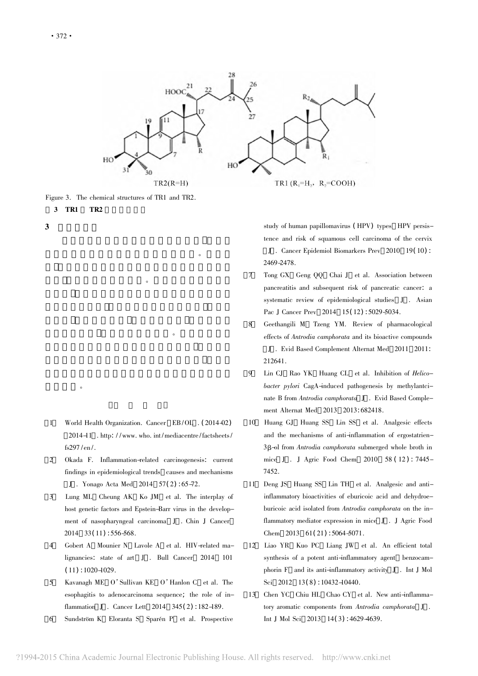

Figure 3. The chemical structures of TR1 and TR2.

麦角甾烷类化合物具有显著的抗炎活性。研究表

 $\bullet$ 

 $\overline{O}$ 

3 TR1 TR2

 $\mathbb{R}$ 

 $3 \quad$ 

- 1 World Health Organization. Cancer EB/OL . ( 2014-02) 2014-11 . http: / /www. who. int /mediacentre /factsheets / fs297 /en/.
- 2 Okada F. Inflammation-related carcinogenesis: current findings in epidemiological trends causes and mechanisms J . Yonago Acta Med 2014 57( 2) : 65-72.
- 3 Lung ML Cheung AK Ko JM et al. The interplay of host genetic factors and Epstein-Barr virus in the development of nasopharyngeal carcinoma J . Chin J Cancer  $2014 \quad 33(11) : 556-568.$
- 4 Gobert A Mounier N Lavole A et al. HIV-related malignancies: state of art J . Bull Cancer 2014 101  $(11): 1020 - 1029.$
- 5 Kavanagh ME O'Sullivan KE O'Hanlon C et al. The esophagitis to adenocarcinoma sequence; the role of inflammation J . Cancer Lett 2014 345( 2) : 182-189.
- 6 Sundström K Eloranta S Sparén P et al. Prospective

study of human papillomavirus ( HPV) types HPV persistence and risk of squamous cell carcinoma of the cervix J . Cancer Epidemiol Biomarkers Prev 2010 19( 10) : 2469-2478.

- 7 Tong GX Geng QQ Chai J et al. Association between pancreatitis and subsequent risk of pancreatic cancer: a systematic review of epidemiological studies J . Asian Pac J Cancer Prev 2014 15(12): 5029-5034.
- 8 Geethangili M Tzeng YM. Review of pharmacological effects of Antrodia camphorata and its bioactive compounds J . Evid Based Complement Alternat Med 2011 2011: 212641.
- 9 Lin CJ Rao YK Huang CL et al. Inhibition of Helicobacter pylori CagA-induced pathogenesis by methylantcinate B from Antrodia camphorata J . Evid Based Complement Alternat Med 2013 2013: 682418.
- 10 Huang GJ Huang SS Lin SS et al. Analgesic effects and the mechanisms of anti-inflammation of ergostatrien-3β-ol from Antrodia camphorata submerged whole broth in mice J . J Agric Food Chem 2010 58 (12): 7445-7452.
- 11 Deng JS Huang SS Lin TH et al. Analgesic and antiinflammatory bioactivities of eburicoic acid and dehydroeburicoic acid isolated from Antrodia camphorata on the inflammatory mediator expression in mice J . J Agric Food Chem 2013 61(21): 5064-5071.
- 12 Liao YR Kuo PC Liang JW et al. An efficient total synthesis of a potent anti-inflammatory agent benzocamphorin F and its anti-inflammatory activity J . Int J Mol Sci 2012 13(8): 10432-10440.
- 13 Chen YC Chiu HL Chao CY et al. New anti-inflammatory aromatic components from Antrodia camphorata J . Int J Mol Sci 2013 14( 3) : 4629-4639.